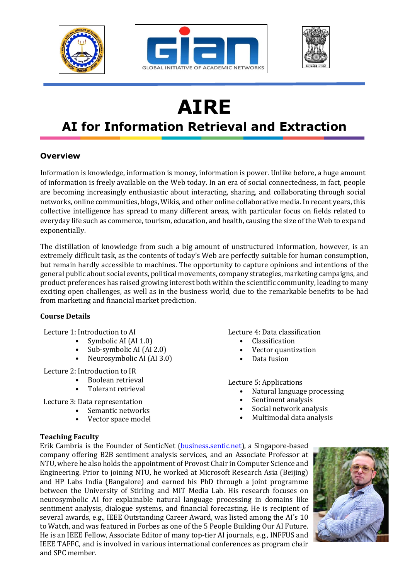





# **AIRE**

## **AI for Information Retrieval and Extraction**

### **Overview**

Information is knowledge, information is money, information is power. Unlike before, a huge amount of information is freely available on the Web today. In an era of social connectedness, in fact, people are becoming increasingly enthusiastic about interacting, sharing, and collaborating through social networks, online communities, blogs, Wikis, and other online collaborative media. In recent years, this collective intelligence has spread to many different areas, with particular focus on fields related to everyday life such as commerce, tourism, education, and health, causing the size of the Web to expand exponentially.

The distillation of knowledge from such a big amount of unstructured information, however, is an extremely difficult task, as the contents of today's Web are perfectly suitable for human consumption, but remain hardly accessible to machines. The opportunity to capture opinions and intentions of the general public about social events, political movements, company strategies, marketing campaigns, and product preferences has raised growing interest both within the scientific community, leading to many exciting open challenges, as well as in the business world, due to the remarkable benefits to be had from marketing and financial market prediction.

#### **Course Details**

Lecture 1: Introduction to AI

- Symbolic AI (AI 1.0)
- Sub-symbolic AI (AI 2.0)
- Neurosymbolic AI (AI 3.0)

Lecture 2: Introduction to IR

- Boolean retrieval
- Tolerant retrieval

Lecture 3: Data representation

- Semantic networks
- Vector space model

Lecture 4: Data classification

- **Classification**
- Vector quantization
- Data fusion

Lecture 5: Applications

- Natural language processing
- Sentiment analysis
- Social network analysis
- Multimodal data analysis

#### **Teaching Faculty**

Erik Cambria is the Founder of SenticNet (business.sentic.net), a Singapore-based company offering B2B sentiment analysis services, and an Associate Professor at NTU, where he also holds the appointment of Provost Chair in Computer Science and Engineering. Prior to joining NTU, he worked at Microsoft Research Asia (Beijing) and HP Labs India (Bangalore) and earned his PhD through a joint programme between the University of Stirling and MIT Media Lab. His research focuses on neurosymbolic AI for explainable natural language processing in domains like sentiment analysis, dialogue systems, and financial forecasting. He is recipient of several awards, e.g., IEEE Outstanding Career Award, was listed among the AI's 10 to Watch, and was featured in Forbes as one of the 5 People Building Our AI Future. He is an IEEE Fellow, Associate Editor of many top-tier AI journals, e.g., INFFUS and IEEE TAFFC, and is involved in various international conferences as program chair and SPC member.